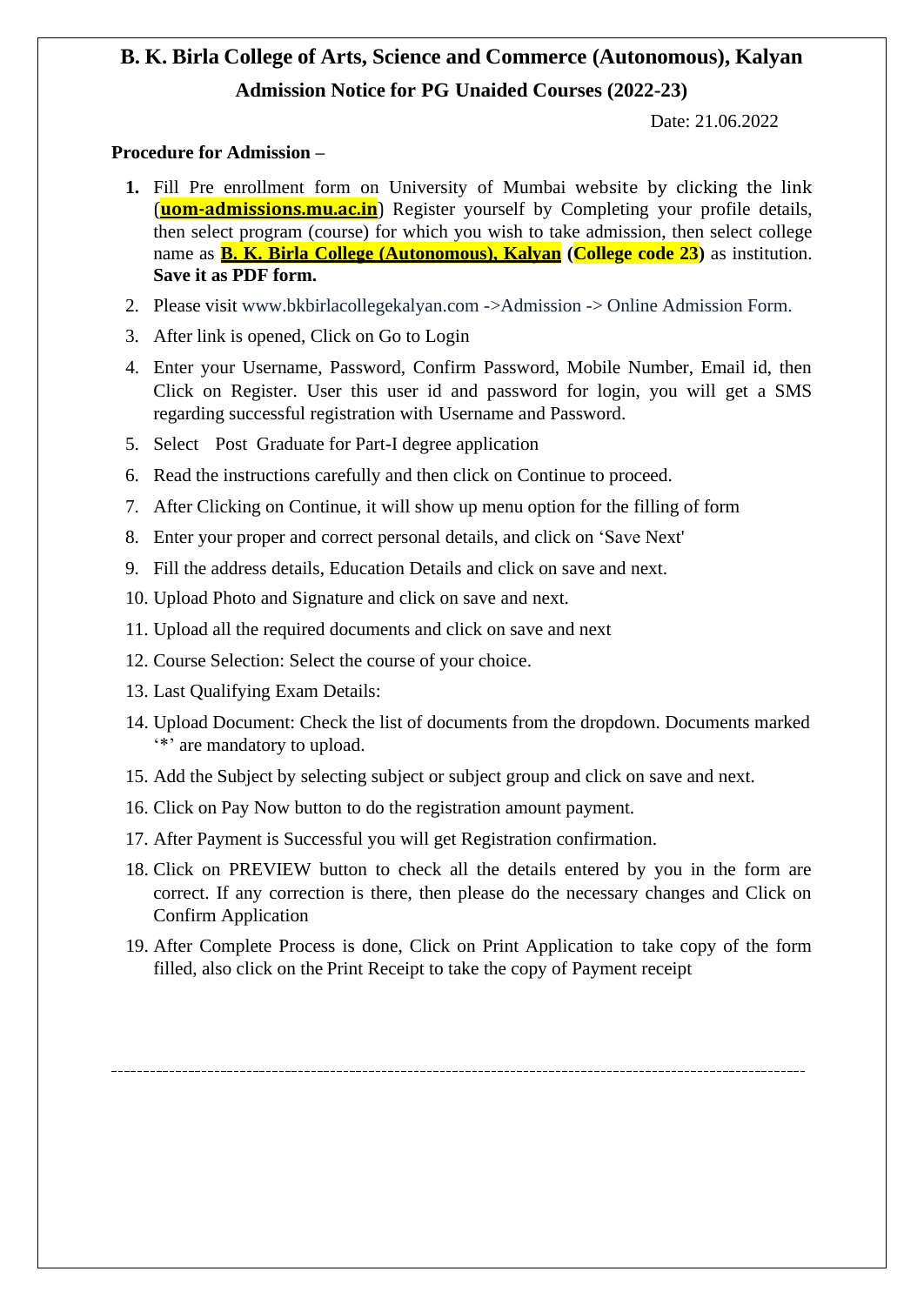# **B. K. Birla College of Arts, Science and Commerce (Autonomous), Kalyan Admission Notice for PG Unaided Courses (2022-23)**

Date: 21.06.2022

### **Procedure for Admission –**

- **1.** Fill Pre enrollment form on University of Mumbai website by clicking the link (**uom-admissions.mu.ac.in**) Register yourself by Completing your profile details, then select program (course) for which you wish to take admission, then select college name as **B. K. Birla College (Autonomous), Kalyan (College code 23)** as institution. **Save it as PDF form.**
- 2. Please visit [www.bkbirlacollegekalyan.com](http://www.bkbirlacollegekalyan.com-/) ->Admission -> Online Admission Form.
- 3. After link is opened, Click on Go to Login
- 4. Enter your Username, Password, Confirm Password, Mobile Number, Email id, then Click on Register. User this user id and password for login, you will get a SMS regarding successful registration with Username and Password.
- 5. Select Post Graduate for Part-I degree application
- 6. Read the instructions carefully and then click on Continue to proceed.
- 7. After Clicking on Continue, it will show up menu option for the filling of form
- 8. Enter your proper and correct personal details, and click on 'Save Next'
- 9. Fill the address details, Education Details and click on save and next.
- 10. Upload Photo and Signature and click on save and next.
- 11. Upload all the required documents and click on save and next
- 12. Course Selection: Select the course of your choice.
- 13. Last Qualifying Exam Details:
- 14. Upload Document: Check the list of documents from the dropdown. Documents marked '\*' are mandatory to upload.
- 15. Add the Subject by selecting subject or subject group and click on save and next.
- 16. Click on Pay Now button to do the registration amount payment.
- 17. After Payment is Successful you will get Registration confirmation.
- 18. Click on PREVIEW button to check all the details entered by you in the form are correct. If any correction is there, then please do the necessary changes and Click on Confirm Application
- 19. After Complete Process is done, Click on Print Application to take copy of the form filled, also click on the Print Receipt to take the copy of Payment receipt